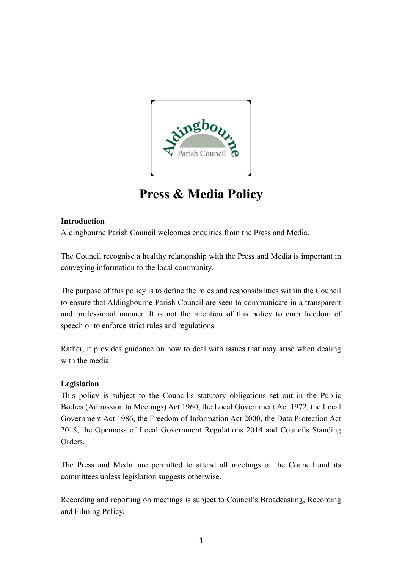

## **Press & Media Policy**

## **Introduction**

Aldingbourne Parish Council welcomes enquiries from the Press and Media.

The Council recognise a healthy relationship with the Press and Media is important in conveying information to the local community.

The purpose of this policy is to define the roles and responsibilities within the Council to ensure that Aldingbourne Parish Council are seen to communicate in a transparent and professional manner. It is not the intention of this policy to curb freedom of speech or to enforce strict rules and regulations.

Rather, it provides guidance on how to deal with issues that may arise when dealing with the media.

## **Legislation**

This policy is subject to the Council's statutory obligations set out in the Public Bodies (Admission to Meetings) Act 1960, the Local Government Act 1972, the Local Government Act 1986, the Freedom of Information Act 2000, the Data Protection Act 2018, the Openness of Local Government Regulations 2014 and Councils Standing Orders.

The Press and Media are permitted to attend all meetings of the Council and its committees unless legislation suggests otherwise.

Recording and reporting on meetings is subject to Council's Broadcasting, Recording and Filming Policy.